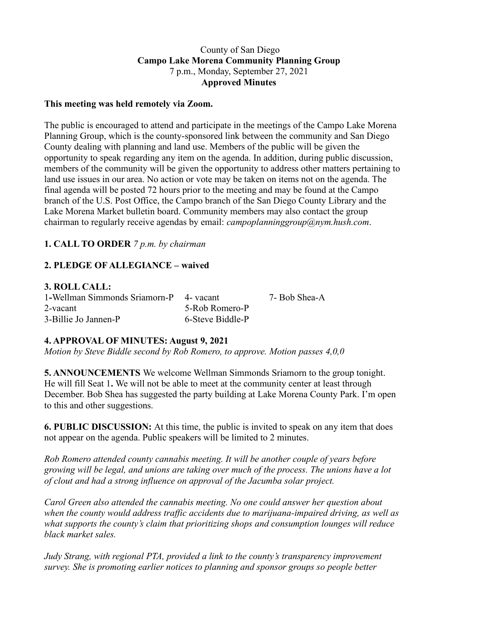## County of San Diego **Campo Lake Morena Community Planning Group** 7 p.m., Monday, September 27, 2021 **Approved Minutes**

### **This meeting was held remotely via Zoom.**

The public is encouraged to attend and participate in the meetings of the Campo Lake Morena Planning Group, which is the county-sponsored link between the community and San Diego County dealing with planning and land use. Members of the public will be given the opportunity to speak regarding any item on the agenda. In addition, during public discussion, members of the community will be given the opportunity to address other matters pertaining to land use issues in our area. No action or vote may be taken on items not on the agenda. The final agenda will be posted 72 hours prior to the meeting and may be found at the Campo branch of the U.S. Post Office, the Campo branch of the San Diego County Library and the Lake Morena Market bulletin board. Community members may also contact the group chairman to regularly receive agendas by email: *campoplanninggroup@nym.hush.com*.

## **1. CALL TO ORDER** *7 p.m. by chairman*

# **2. PLEDGE OF ALLEGIANCE – waived**

#### **3. ROLL CALL:**

| 1-Wellman Simmonds Sriamorn-P 4- vacant |                  | 7- Bob Shea-A |
|-----------------------------------------|------------------|---------------|
| 2-vacant                                | 5-Rob Romero-P   |               |
| 3-Billie Jo Jannen-P                    | 6-Steve Biddle-P |               |

### **4. APPROVAL OF MINUTES: August 9, 2021**

*Motion by Steve Biddle second by Rob Romero, to approve. Motion passes 4,0,0*

**5. ANNOUNCEMENTS** We welcome Wellman Simmonds Sriamorn to the group tonight. He will fill Seat 1**.** We will not be able to meet at the community center at least through December. Bob Shea has suggested the party building at Lake Morena County Park. I'm open to this and other suggestions.

**6. PUBLIC DISCUSSION:** At this time, the public is invited to speak on any item that does not appear on the agenda. Public speakers will be limited to 2 minutes.

*Rob Romero attended county cannabis meeting. It will be another couple of years before growing will be legal, and unions are taking over much of the process. The unions have a lot of clout and had a strong influence on approval of the Jacumba solar project.*

*Carol Green also attended the cannabis meeting. No one could answer her question about when the county would address traffic accidents due to marijuana-impaired driving, as well as what supports the county's claim that prioritizing shops and consumption lounges will reduce black market sales.*

*Judy Strang, with regional PTA, provided a link to the county's transparency improvement survey. She is promoting earlier notices to planning and sponsor groups so people better*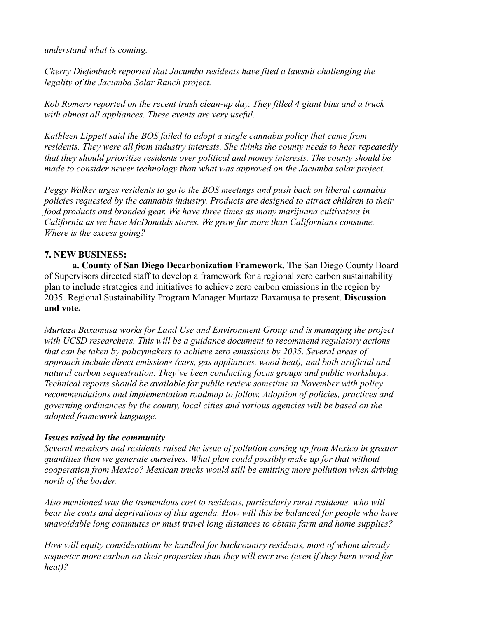*understand what is coming.*

*Cherry Diefenbach reported that Jacumba residents have filed a lawsuit challenging the legality of the Jacumba Solar Ranch project.*

*Rob Romero reported on the recent trash clean-up day. They filled 4 giant bins and a truck with almost all appliances. These events are very useful.*

*Kathleen Lippett said the BOS failed to adopt a single cannabis policy that came from residents. They were all from industry interests. She thinks the county needs to hear repeatedly that they should prioritize residents over political and money interests. The county should be made to consider newer technology than what was approved on the Jacumba solar project.*

*Peggy Walker urges residents to go to the BOS meetings and push back on liberal cannabis policies requested by the cannabis industry. Products are designed to attract children to their food products and branded gear. We have three times as many marijuana cultivators in California as we have McDonalds stores. We grow far more than Californians consume. Where is the excess going?*

# **7. NEW BUSINESS:**

**a. County of San Diego Decarbonization Framework.** The San Diego County Board of Supervisors directed staff to develop a framework for a regional zero carbon sustainability plan to include strategies and initiatives to achieve zero carbon emissions in the region by 2035. Regional Sustainability Program Manager Murtaza Baxamusa to present. **Discussion and vote.**

*Murtaza Baxamusa works for Land Use and Environment Group and is managing the project with UCSD researchers. This will be a guidance document to recommend regulatory actions that can be taken by policymakers to achieve zero emissions by 2035. Several areas of approach include direct emissions (cars, gas appliances, wood heat), and both artificial and natural carbon sequestration. They've been conducting focus groups and public workshops. Technical reports should be available for public review sometime in November with policy recommendations and implementation roadmap to follow. Adoption of policies, practices and governing ordinances by the county, local cities and various agencies will be based on the adopted framework language.*

# *Issues raised by the community*

*Several members and residents raised the issue of pollution coming up from Mexico in greater quantities than we generate ourselves. What plan could possibly make up for that without cooperation from Mexico? Mexican trucks would still be emitting more pollution when driving north of the border.*

*Also mentioned was the tremendous cost to residents, particularly rural residents, who will bear the costs and deprivations of this agenda. How will this be balanced for people who have unavoidable long commutes or must travel long distances to obtain farm and home supplies?*

*How will equity considerations be handled for backcountry residents, most of whom already sequester more carbon on their properties than they will ever use (even if they burn wood for heat)?*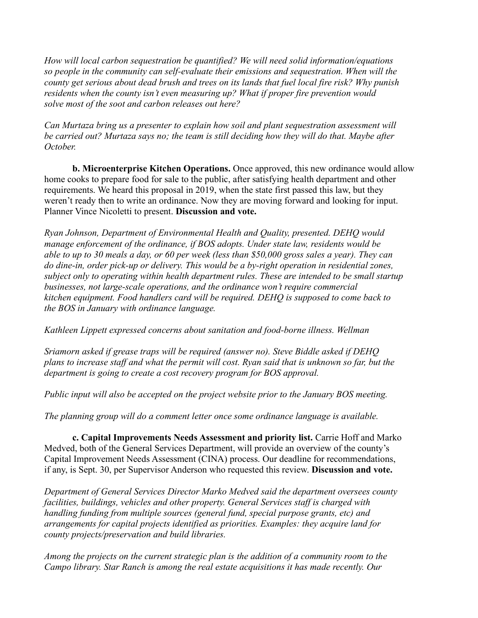*How will local carbon sequestration be quantified? We will need solid information/equations so people in the community can self-evaluate their emissions and sequestration. When will the county get serious about dead brush and trees on its lands that fuel local fire risk? Why punish residents when the county isn't even measuring up? What if proper fire prevention would solve most of the soot and carbon releases out here?*

*Can Murtaza bring us a presenter to explain how soil and plant sequestration assessment will be carried out? Murtaza says no; the team is still deciding how they will do that. Maybe after October.*

**b. Microenterprise Kitchen Operations.** Once approved, this new ordinance would allow home cooks to prepare food for sale to the public, after satisfying health department and other requirements. We heard this proposal in 2019, when the state first passed this law, but they weren't ready then to write an ordinance. Now they are moving forward and looking for input. Planner Vince Nicoletti to present. **Discussion and vote.**

*Ryan Johnson, Department of Environmental Health and Quality, presented. DEHQ would manage enforcement of the ordinance, if BOS adopts. Under state law, residents would be* able to up to 30 meals a day, or 60 per week (less than \$50,000 gross sales a year). They can *do dine-in, order pick-up or delivery. This would be a by-right operation in residential zones, subject only to operating within health department rules. These are intended to be small startup businesses, not large-scale operations, and the ordinance won't require commercial kitchen equipment. Food handlers card will be required. DEHQ is supposed to come back to the BOS in January with ordinance language.*

*Kathleen Lippett expressed concerns about sanitation and food-borne illness. Wellman*

*Sriamorn asked if grease traps will be required (answer no). Steve Biddle asked if DEHQ* plans to increase staff and what the permit will cost. Ryan said that is unknown so far, but the *department is going to create a cost recovery program for BOS approval.*

*Public input will also be accepted on the project website prior to the January BOS meeting.*

*The planning group will do a comment letter once some ordinance language is available.*

**c. Capital Improvements Needs Assessment and priority list.** Carrie Hoff and Marko Medved, both of the General Services Department, will provide an overview of the county's Capital Improvement Needs Assessment (CINA) process. Our deadline for recommendations, if any, is Sept. 30, per Supervisor Anderson who requested this review. **Discussion and vote.**

*Department of General Services Director Marko Medved said the department oversees county facilities, buildings, vehicles and other property. General Services staff is charged with handling funding from multiple sources (general fund, special purpose grants, etc) and arrangements for capital projects identified as priorities. Examples: they acquire land for county projects/preservation and build libraries.*

*Among the projects on the current strategic plan is the addition of a community room to the Campo library. Star Ranch is among the real estate acquisitions it has made recently. Our*